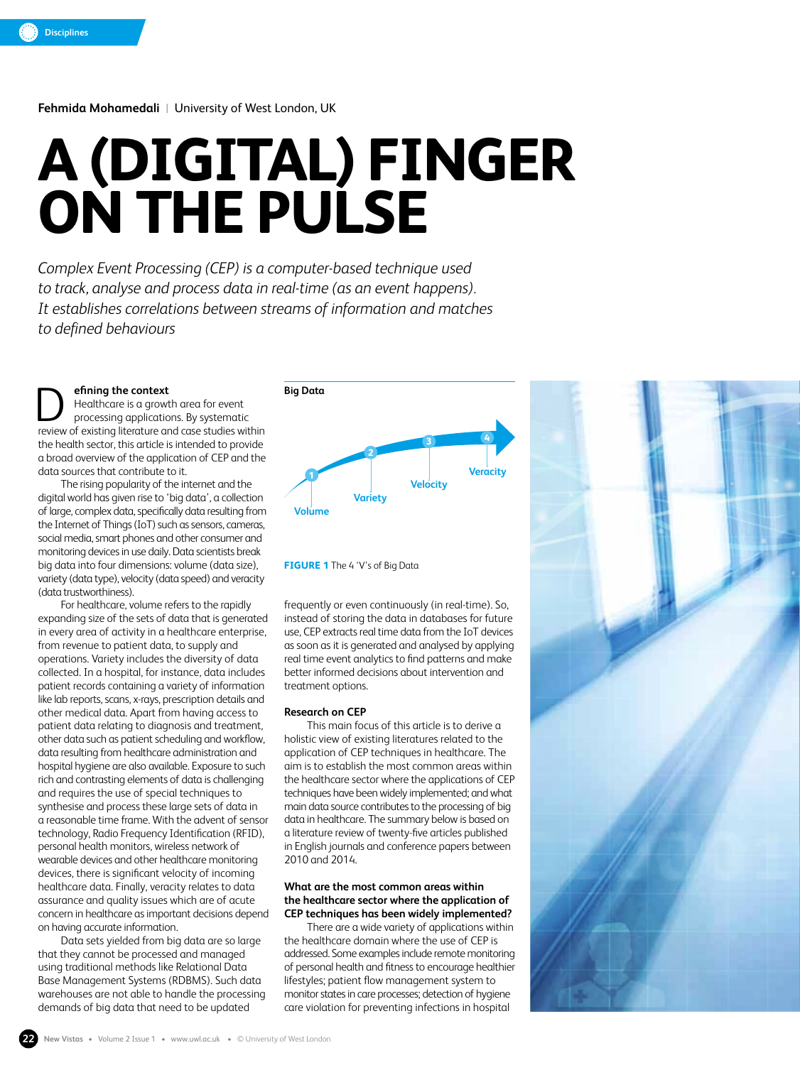**Fehmida Mohamedali** |University of West London, UK

# **A (DIGITAL) FINGER ON THE PULSE**

*Complex Event Processing (CEP) is a computer-based technique used to track, analyse and process data in real-time (as an event happens). It establishes correlations between streams of information and matches to defined behaviours* 

**efining the context**  Healthcare is a growth area for event processing applications. By systematic **efining the context**<br>
Fealthcare is a growth area for event<br>
processing applications. By systematic<br>
review of existing literature and case studies within the health sector, this article is intended to provide a broad overview of the application of CEP and the data sources that contribute to it.

The rising popularity of the internet and the digital world has given rise to 'big data', a collection of large, complex data, specifically data resulting from the Internet of Things (IoT) such as sensors, cameras, social media, smart phones and other consumer and monitoring devices in use daily. Data scientists break big data into four dimensions: volume (data size), variety (data type), velocity (data speed) and veracity (data trustworthiness).

For healthcare, volume refers to the rapidly expanding size of the sets of data that is generated in every area of activity in a healthcare enterprise, from revenue to patient data, to supply and operations. Variety includes the diversity of data collected. In a hospital, for instance, data includes patient records containing a variety of information like lab reports, scans, x-rays, prescription details and other medical data. Apart from having access to patient data relating to diagnosis and treatment, other data such as patient scheduling and workflow, data resulting from healthcare administration and hospital hygiene are also available. Exposure to such rich and contrasting elements of data is challenging and requires the use of special techniques to synthesise and process these large sets of data in a reasonable time frame. With the advent of sensor technology, Radio Frequency Identification (RFID), personal health monitors, wireless network of wearable devices and other healthcare monitoring devices, there is significant velocity of incoming healthcare data. Finally, veracity relates to data assurance and quality issues which are of acute concern in healthcare as important decisions depend on having accurate information.

Data sets yielded from big data are so large that they cannot be processed and managed using traditional methods like Relational Data Base Management Systems (RDBMS). Such data warehouses are not able to handle the processing demands of big data that need to be updated



# **FIGURE 1** The 4 'V's of Big Data

frequently or even continuously (in real-time). So, instead of storing the data in databases for future use, CEP extracts real time data from the IoT devices as soon as it is generated and analysed by applying real time event analytics to find patterns and make better informed decisions about intervention and treatment options.

#### **Research on CEP**

This main focus of this article is to derive a holistic view of existing literatures related to the application of CEP techniques in healthcare. The aim is to establish the most common areas within the healthcare sector where the applications of CEP techniques have been widely implemented; and what main data source contributes to the processing of big data in healthcare. The summary below is based on a literature review of twenty-five articles published in English journals and conference papers between 2010 and 2014.

## **What are the most common areas within the healthcare sector where the application of CEP techniques has been widely implemented?**

There are a wide variety of applications within the healthcare domain where the use of CEP is addressed. Some examples include remote monitoring of personal health and fitness to encourage healthier lifestyles; patient flow management system to monitor states in care processes; detection of hygiene care violation for preventing infections in hospital

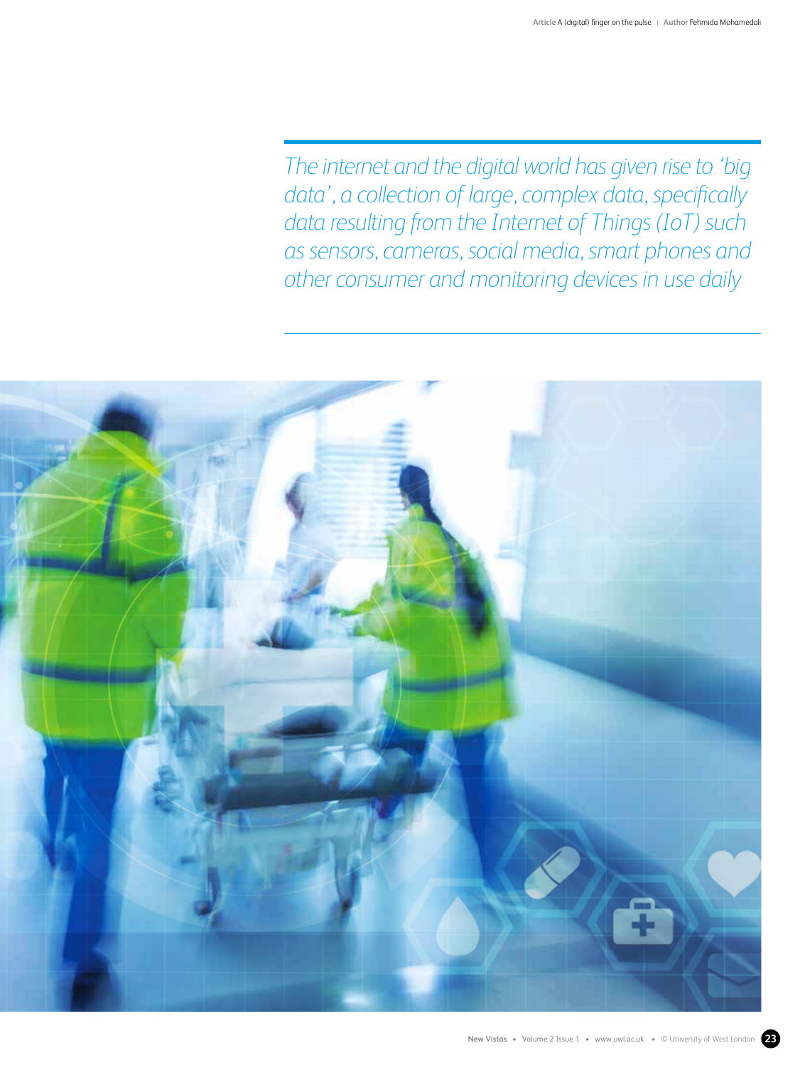*The internet and the digital world has given rise to 'big data', a collection of large, complex data, specifically data resulting from the Internet of Things (IoT) such as sensors, cameras, social media, smart phones and other consumer and monitoring devices in use daily*

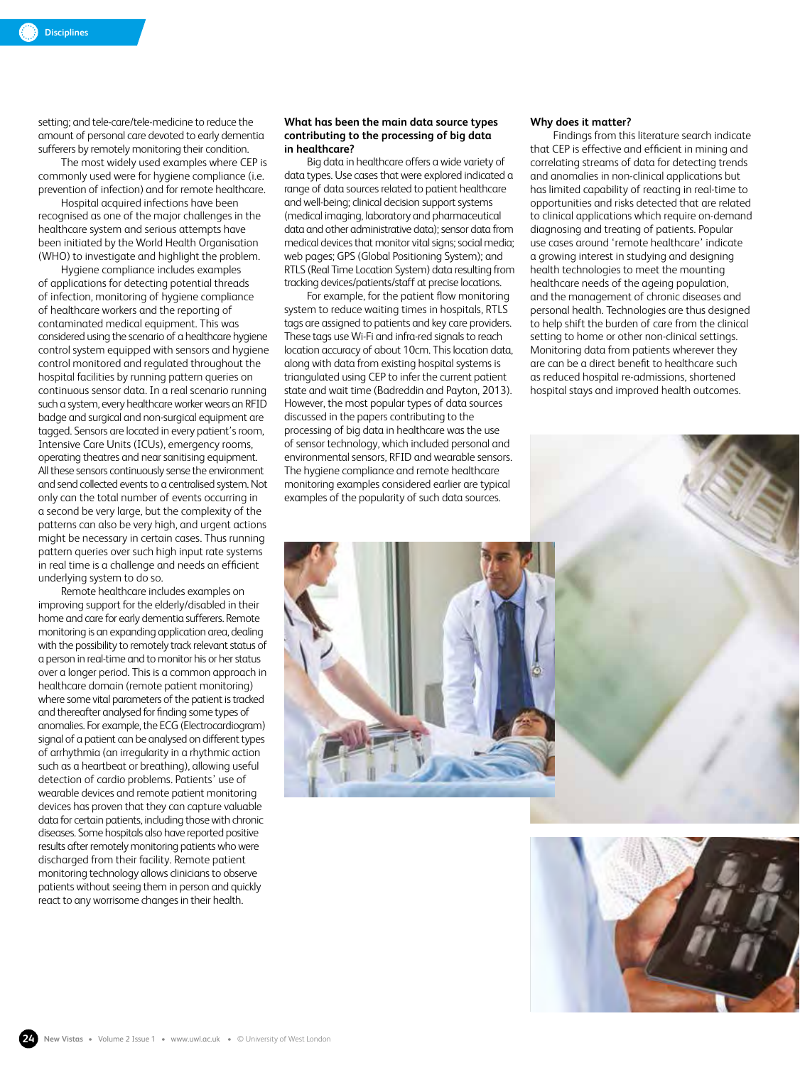setting; and tele-care/tele-medicine to reduce the amount of personal care devoted to early dementia sufferers by remotely monitoring their condition.

 **Disciplines**

The most widely used examples where CEP is commonly used were for hygiene compliance (i.e. prevention of infection) and for remote healthcare.

Hospital acquired infections have been recognised as one of the major challenges in the healthcare system and serious attempts have been initiated by the World Health Organisation (WHO) to investigate and highlight the problem.

Hygiene compliance includes examples of applications for detecting potential threads of infection, monitoring of hygiene compliance of healthcare workers and the reporting of contaminated medical equipment. This was considered using the scenario of a healthcare hygiene control system equipped with sensors and hygiene control monitored and regulated throughout the hospital facilities by running pattern queries on continuous sensor data. In a real scenario running such a system, every healthcare worker wears an RFID badge and surgical and non-surgical equipment are tagged. Sensors are located in every patient's room, Intensive Care Units (ICUs), emergency rooms, operating theatres and near sanitising equipment. All these sensors continuously sense the environment and send collected events to a centralised system. Not only can the total number of events occurring in a second be very large, but the complexity of the patterns can also be very high, and urgent actions might be necessary in certain cases. Thus running pattern queries over such high input rate systems in real time is a challenge and needs an efficient underlying system to do so.

Remote healthcare includes examples on improving support for the elderly/disabled in their home and care for early dementia sufferers. Remote monitoring is an expanding application area, dealing with the possibility to remotely track relevant status of a person in real-time and to monitor his or her status over a longer period. This is a common approach in healthcare domain (remote patient monitoring) where some vital parameters of the patient is tracked and thereafter analysed for finding some types of anomalies. For example, the ECG (Electrocardiogram) signal of a patient can be analysed on different types of arrhythmia (an irregularity in a rhythmic action such as a heartbeat or breathing), allowing useful detection of cardio problems. Patients' use of wearable devices and remote patient monitoring devices has proven that they can capture valuable data for certain patients, including those with chronic diseases. Some hospitals also have reported positive results after remotely monitoring patients who were discharged from their facility. Remote patient monitoring technology allows clinicians to observe patients without seeing them in person and quickly react to any worrisome changes in their health.

## **What has been the main data source types contributing to the processing of big data in healthcare?**

Big data in healthcare offers a wide variety of data types. Use cases that were explored indicated a range of data sources related to patient healthcare and well-being; clinical decision support systems (medical imaging, laboratory and pharmaceutical data and other administrative data); sensor data from medical devices that monitor vital signs; social media; web pages; GPS (Global Positioning System); and RTLS (Real Time Location System) data resulting from tracking devices/patients/staff at precise locations.

For example, for the patient flow monitoring system to reduce waiting times in hospitals, RTLS tags are assigned to patients and key care providers. These tags use Wi-Fi and infra-red signals to reach location accuracy of about 10cm. This location data, along with data from existing hospital systems is triangulated using CEP to infer the current patient state and wait time (Badreddin and Payton, 2013). However, the most popular types of data sources discussed in the papers contributing to the processing of big data in healthcare was the use of sensor technology, which included personal and environmental sensors, RFID and wearable sensors. The hygiene compliance and remote healthcare monitoring examples considered earlier are typical examples of the popularity of such data sources.

# **Why does it matter?**

Findings from this literature search indicate that CEP is effective and efficient in mining and correlating streams of data for detecting trends and anomalies in non-clinical applications but has limited capability of reacting in real-time to opportunities and risks detected that are related to clinical applications which require on-demand diagnosing and treating of patients. Popular use cases around 'remote healthcare' indicate a growing interest in studying and designing health technologies to meet the mounting healthcare needs of the ageing population, and the management of chronic diseases and personal health. Technologies are thus designed to help shift the burden of care from the clinical setting to home or other non-clinical settings. Monitoring data from patients wherever they are can be a direct benefit to healthcare such as reduced hospital re-admissions, shortened hospital stays and improved health outcomes.